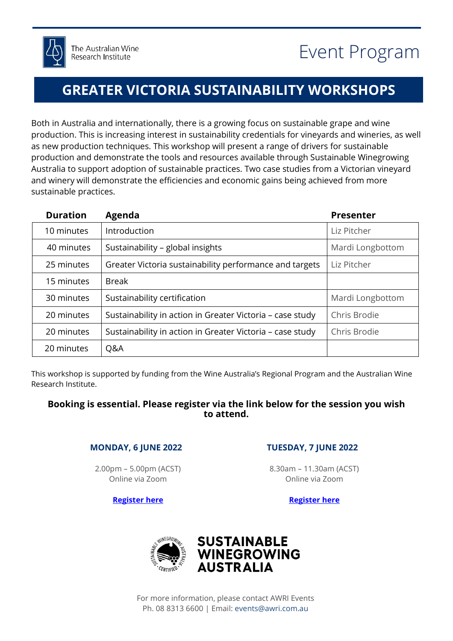## **GREATER VICTORIA SUSTAINABILITY WORKSHOPS**

Both in Australia and internationally, there is a growing focus on sustainable grape and wine production. This is increasing interest in sustainability credentials for vineyards and wineries, as well as new production techniques. This workshop will present a range of drivers for sustainable production and demonstrate the tools and resources available through Sustainable Winegrowing Australia to support adoption of sustainable practices. Two case studies from a Victorian vineyard and winery will demonstrate the efficiencies and economic gains being achieved from more sustainable practices.

| <b>Duration</b> | <b>Agenda</b>                                             | <b>Presenter</b> |
|-----------------|-----------------------------------------------------------|------------------|
| 10 minutes      | Introduction                                              | Liz Pitcher      |
| 40 minutes      | Sustainability - global insights                          | Mardi Longbottom |
| 25 minutes      | Greater Victoria sustainability performance and targets   | Liz Pitcher      |
| 15 minutes      | <b>Break</b>                                              |                  |
| 30 minutes      | Sustainability certification                              | Mardi Longbottom |
| 20 minutes      | Sustainability in action in Greater Victoria - case study | Chris Brodie     |
| 20 minutes      | Sustainability in action in Greater Victoria - case study | Chris Brodie     |
| 20 minutes      | Q&A                                                       |                  |

This workshop is supported by funding from the Wine Australia's Regional Program and the Australian Wine Research Institute.

## **Booking is essential. Please register via the link below for the session you wish to attend.**

## **MONDAY, 6 JUNE 2022**

2.00pm – 5.00pm (ACST) Online via Zoom

**[Register here](https://www.awri.com.au/events/greater-victoria-sustainability-workshop-online1/)**

## **TUESDAY, 7 JUNE 2022**

8.30am – 11.30am (ACST) Online via Zoom

**[Register here](https://www.awri.com.au/events/greater-victoria-sustainability-workshop-online2/)**



For more information, please contact AWRI Events Ph. 08 8313 6600 | Email: [events@awri.com.au](mailto:events@awri.com.au)